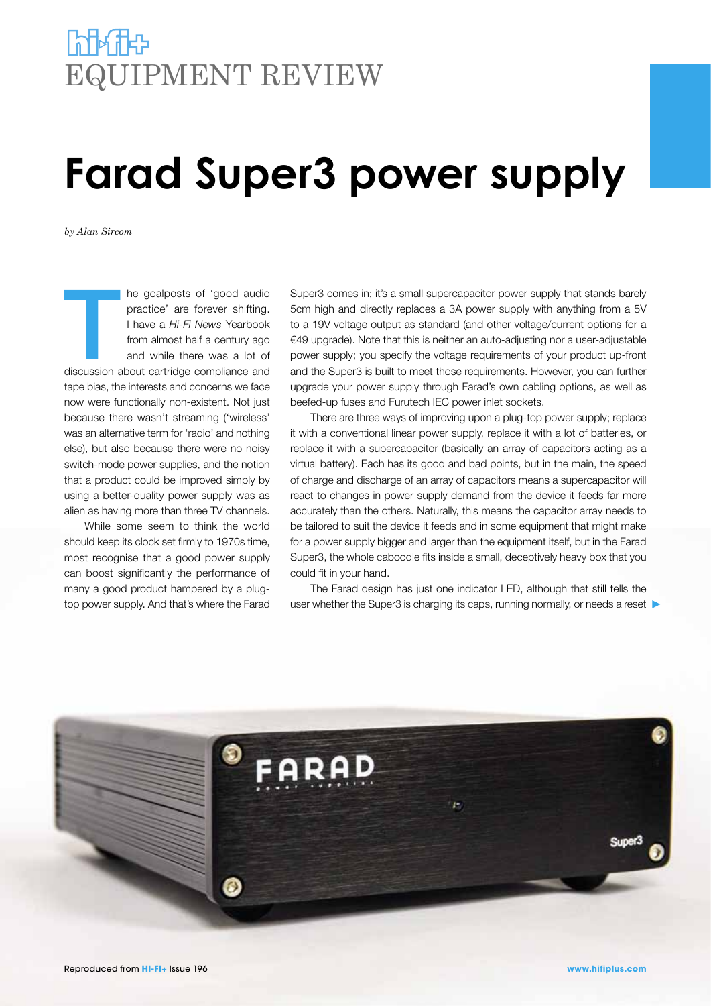## **Port of the United** EQUIPMENT REVIEW

## **Farad Super3 power supply**

*by Alan Sircom*

The goalposts of 'good audio<br>
practice' are forever shifting.<br>
I have a *Hi-Fi News* Yearbook<br>
from almost half a century ago<br>
and while there was a lot of<br>
discussion about cartridge compliance and practice' are forever shifting. I have a *Hi-Fi News* Yearbook from almost half a century ago and while there was a lot of tape bias, the interests and concerns we face now were functionally non-existent. Not just because there wasn't streaming ('wireless' was an alternative term for 'radio' and nothing else), but also because there were no noisy switch-mode power supplies, and the notion that a product could be improved simply by using a better-quality power supply was as alien as having more than three TV channels.

While some seem to think the world should keep its clock set firmly to 1970s time, most recognise that a good power supply can boost significantly the performance of many a good product hampered by a plugtop power supply. And that's where the Farad Super3 comes in; it's a small supercapacitor power supply that stands barely 5cm high and directly replaces a 3A power supply with anything from a 5V to a 19V voltage output as standard (and other voltage/current options for a €49 upgrade). Note that this is neither an auto-adjusting nor a user-adjustable power supply; you specify the voltage requirements of your product up-front and the Super3 is built to meet those requirements. However, you can further upgrade your power supply through Farad's own cabling options, as well as beefed-up fuses and Furutech IEC power inlet sockets.

There are three ways of improving upon a plug-top power supply; replace it with a conventional linear power supply, replace it with a lot of batteries, or replace it with a supercapacitor (basically an array of capacitors acting as a virtual battery). Each has its good and bad points, but in the main, the speed of charge and discharge of an array of capacitors means a supercapacitor will react to changes in power supply demand from the device it feeds far more accurately than the others. Naturally, this means the capacitor array needs to be tailored to suit the device it feeds and in some equipment that might make for a power supply bigger and larger than the equipment itself, but in the Farad Super3, the whole caboodle fits inside a small, deceptively heavy box that you could fit in your hand.

The Farad design has just one indicator LED, although that still tells the user whether the Super3 is charging its caps, running normally, or needs a reset

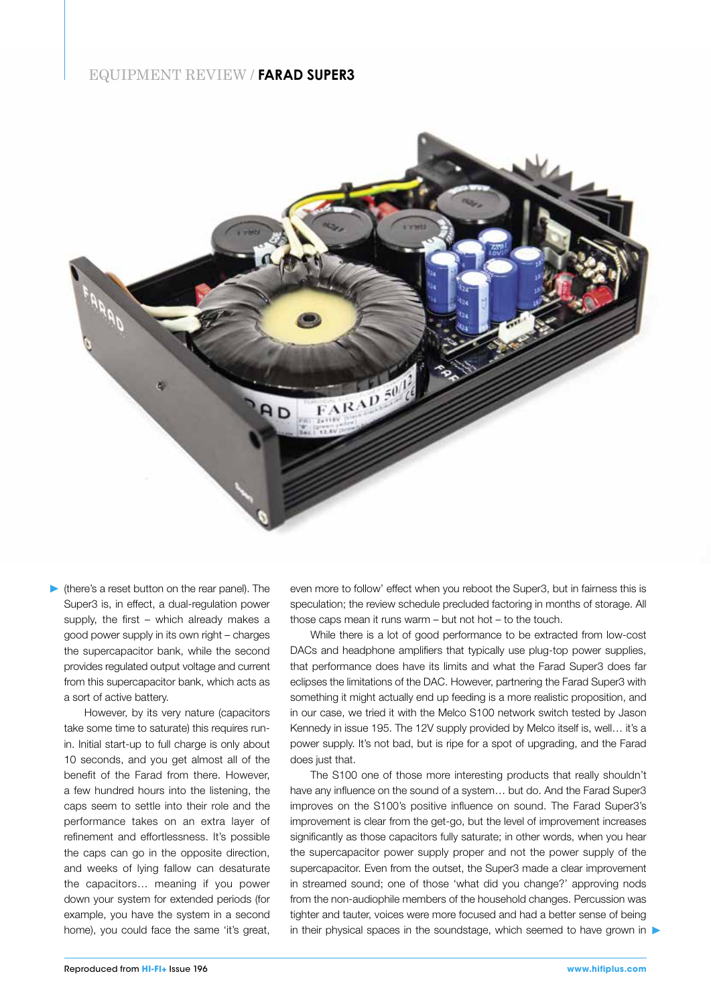## EQUIPMENT REVIEW / **FARAD SUPER3**



(there's a reset button on the rear panel). The Super3 is, in effect, a dual-regulation power supply, the first – which already makes a good power supply in its own right – charges the supercapacitor bank, while the second provides regulated output voltage and current from this supercapacitor bank, which acts as a sort of active battery.

However, by its very nature (capacitors take some time to saturate) this requires runin. Initial start-up to full charge is only about 10 seconds, and you get almost all of the benefit of the Farad from there. However, a few hundred hours into the listening, the caps seem to settle into their role and the performance takes on an extra layer of refinement and effortlessness. It's possible the caps can go in the opposite direction, and weeks of lying fallow can desaturate the capacitors… meaning if you power down your system for extended periods (for example, you have the system in a second home), you could face the same 'it's great, even more to follow' effect when you reboot the Super3, but in fairness this is speculation; the review schedule precluded factoring in months of storage. All those caps mean it runs warm – but not hot – to the touch.

While there is a lot of good performance to be extracted from low-cost DACs and headphone amplifiers that typically use plug-top power supplies, that performance does have its limits and what the Farad Super3 does far eclipses the limitations of the DAC. However, partnering the Farad Super3 with something it might actually end up feeding is a more realistic proposition, and in our case, we tried it with the Melco S100 network switch tested by Jason Kennedy in issue 195. The 12V supply provided by Melco itself is, well… it's a power supply. It's not bad, but is ripe for a spot of upgrading, and the Farad does just that.

The S100 one of those more interesting products that really shouldn't have any influence on the sound of a system… but do. And the Farad Super3 improves on the S100's positive influence on sound. The Farad Super3's improvement is clear from the get-go, but the level of improvement increases significantly as those capacitors fully saturate; in other words, when you hear the supercapacitor power supply proper and not the power supply of the supercapacitor. Even from the outset, the Super3 made a clear improvement in streamed sound; one of those 'what did you change?' approving nods from the non-audiophile members of the household changes. Percussion was tighter and tauter, voices were more focused and had a better sense of being in their physical spaces in the soundstage, which seemed to have grown in